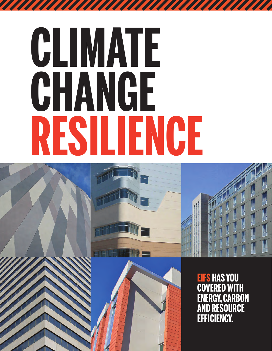# **CLIMATE CHANGE RESILIENCE**

**TATALIAN** 



**EIFS HAS YOU COVERED WITH ENERGY, CARBON AND RESOURCE EFFICIENCY.**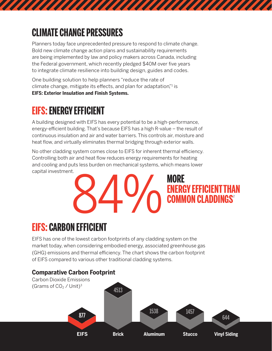## **CLIMATE CHANGE PRESSURES**

Planners today face unprecedented pressure to respond to climate change. Bold new climate change action plans and sustainability requirements are being implemented by law and policy makers across Canada, including the Federal government, which recently pledged \$40M over five years to integrate climate resilience into building design, guides and codes.

One building solution to help planners "reduce the rate of climate change, mitigate its effects, and plan for adaptation,"<sup>1</sup> is **EIFS: Exterior Insulation and Finish Systems.**

#### **EIFS: ENERGY EFFICIENT**

A building designed with EIFS has every potential to be a high-performance, energy-efficient building. That's because EIFS has a high R-value – the result of continuous insulation and air and water barriers. This controls air, moisture and heat flow, and virtually eliminates thermal bridging through exterior walls.

No other cladding system comes close to EIFS for inherent thermal efficiency. Controlling both air and heat flow reduces energy requirements for heating and cooling and puts less burden on mechanical systems, which means lower capital investment.



## **EIFS: CARBON EFFICIENT**

EIFS has one of the lowest carbon footprints of any cladding system on the market today, when considering embodied energy, associated greenhouse gas (GHG) emissions and thermal efficiency. The chart shows the carbon footprint of EIFS compared to various other traditional cladding systems.

#### **Comparative Carbon Footprint**

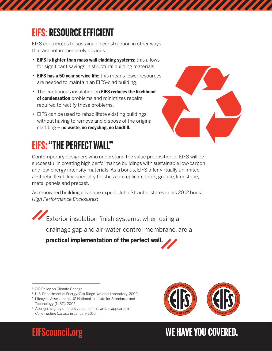#### **EIFS: RESOURCE EFFICIENT**

EIFS contributes to sustainable construction in other ways that are not immediately obvious.

- · **EIFS is lighter than mass wall cladding systems;** this allows for significant savings in structural building materials.
- · **EIFS has a 50 year service life;** this means fewer resources are needed to maintain an EIFS-clad building.
- · The continuous insulation on **EIFS reduces the likelihood of condensation** problems and minimizes repairs required to rectify those problems.
- · EIFS can be used to rehabilitate existing buildings without having to remove and dispose of the original cladding – **no waste, no recycling, no landfill.**



## **EIFS: "THE PERFECT WALL"**

Contemporary designers who understand the value proposition of EIFS will be successful in creating high performance buildings with sustainable low-carbon and low-energy intensity materials. As a bonus, EIFS offer virtually unlimited aesthetic flexibility; specialty finishes can replicate brick, granite, limestone, metal panels and precast.

As renowned building envelope expert, John Straube, states in his 2012 book, *High Performance Enclosures*:

Exterior insulation finish systems, when using a drainage gap and air-water control membrane, are a

**practical implementation of the perfect wall.**

- ² U.S. Department of Energy/Oak Ridge National Laboratory, 2009
- <sup>3</sup> Lifecycle Assessment, US National Institute for Standards and Technology (NIST), 2007
- \* A longer, slightly different version of this article appeared in *Construction Canada* in January 2016.



#### **EIFScouncil.org WE HAVE YOU COVERED.**

<sup>&</sup>lt;sup>1</sup> CIP Policy on Climate Change